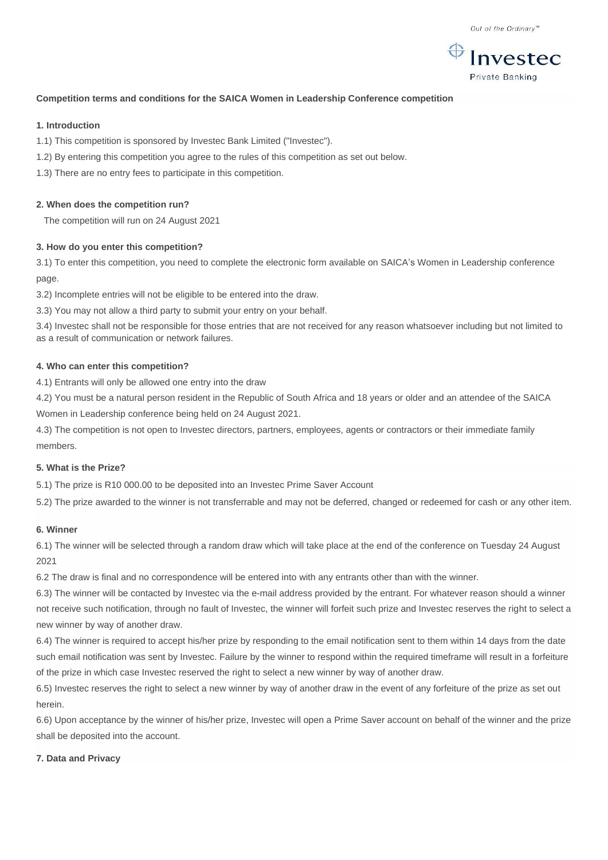

# **Competition terms and conditions for the SAICA Women in Leadership Conference competition**

### **1. Introduction**

1.1) This competition is sponsored by Investec Bank Limited ("Investec").

- 1.2) By entering this competition you agree to the rules of this competition as set out below.
- 1.3) There are no entry fees to participate in this competition.

#### **2. When does the competition run?**

The competition will run on 24 August 2021

#### **3. How do you enter this competition?**

3.1) To enter this competition, you need to complete the electronic form available on SAICA's Women in Leadership conference page.

3.2) Incomplete entries will not be eligible to be entered into the draw.

3.3) You may not allow a third party to submit your entry on your behalf.

3.4) Investec shall not be responsible for those entries that are not received for any reason whatsoever including but not limited to as a result of communication or network failures.

### **4. Who can enter this competition?**

4.1) Entrants will only be allowed one entry into the draw

4.2) You must be a natural person resident in the Republic of South Africa and 18 years or older and an attendee of the SAICA Women in Leadership conference being held on 24 August 2021.

4.3) The competition is not open to Investec directors, partners, employees, agents or contractors or their immediate family members.

# **5. What is the Prize?**

5.1) The prize is R10 000.00 to be deposited into an Investec Prime Saver Account

5.2) The prize awarded to the winner is not transferrable and may not be deferred, changed or redeemed for cash or any other item.

### **6. Winner**

6.1) The winner will be selected through a random draw which will take place at the end of the conference on Tuesday 24 August 2021

6.2 The draw is final and no correspondence will be entered into with any entrants other than with the winner.

6.3) The winner will be contacted by Investec via the e-mail address provided by the entrant. For whatever reason should a winner not receive such notification, through no fault of Investec, the winner will forfeit such prize and Investec reserves the right to select a new winner by way of another draw.

6.4) The winner is required to accept his/her prize by responding to the email notification sent to them within 14 days from the date such email notification was sent by Investec. Failure by the winner to respond within the required timeframe will result in a forfeiture of the prize in which case Investec reserved the right to select a new winner by way of another draw.

6.5) Investec reserves the right to select a new winner by way of another draw in the event of any forfeiture of the prize as set out herein.

6.6) Upon acceptance by the winner of his/her prize, Investec will open a Prime Saver account on behalf of the winner and the prize shall be deposited into the account.

### **7. Data and Privacy**